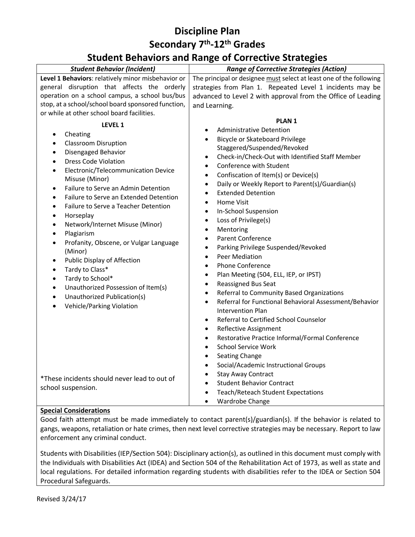### **Student Behaviors and Range of Corrective Strategies**

|                                                                                                                                                                                                                                                                                                                                                                                                                                                                                                                                                                                                                                                                                                                                                                                                                    | u                                                                                                                                                                                                                                                                                                                                                                                                                                                                                                                                                                                                                                                                                                                                                                                                                                                                                                                                                                                                                                                                                                                                                                                                                                                                                                    |
|--------------------------------------------------------------------------------------------------------------------------------------------------------------------------------------------------------------------------------------------------------------------------------------------------------------------------------------------------------------------------------------------------------------------------------------------------------------------------------------------------------------------------------------------------------------------------------------------------------------------------------------------------------------------------------------------------------------------------------------------------------------------------------------------------------------------|------------------------------------------------------------------------------------------------------------------------------------------------------------------------------------------------------------------------------------------------------------------------------------------------------------------------------------------------------------------------------------------------------------------------------------------------------------------------------------------------------------------------------------------------------------------------------------------------------------------------------------------------------------------------------------------------------------------------------------------------------------------------------------------------------------------------------------------------------------------------------------------------------------------------------------------------------------------------------------------------------------------------------------------------------------------------------------------------------------------------------------------------------------------------------------------------------------------------------------------------------------------------------------------------------|
| <b>Student Behavior (Incident)</b>                                                                                                                                                                                                                                                                                                                                                                                                                                                                                                                                                                                                                                                                                                                                                                                 | <b>Range of Corrective Strategies (Action)</b>                                                                                                                                                                                                                                                                                                                                                                                                                                                                                                                                                                                                                                                                                                                                                                                                                                                                                                                                                                                                                                                                                                                                                                                                                                                       |
| Level 1 Behaviors: relatively minor misbehavior or                                                                                                                                                                                                                                                                                                                                                                                                                                                                                                                                                                                                                                                                                                                                                                 | The principal or designee must select at least one of the following                                                                                                                                                                                                                                                                                                                                                                                                                                                                                                                                                                                                                                                                                                                                                                                                                                                                                                                                                                                                                                                                                                                                                                                                                                  |
| general disruption that affects the orderly                                                                                                                                                                                                                                                                                                                                                                                                                                                                                                                                                                                                                                                                                                                                                                        | strategies from Plan 1. Repeated Level 1 incidents may be                                                                                                                                                                                                                                                                                                                                                                                                                                                                                                                                                                                                                                                                                                                                                                                                                                                                                                                                                                                                                                                                                                                                                                                                                                            |
| operation on a school campus, a school bus/bus                                                                                                                                                                                                                                                                                                                                                                                                                                                                                                                                                                                                                                                                                                                                                                     | advanced to Level 2 with approval from the Office of Leading                                                                                                                                                                                                                                                                                                                                                                                                                                                                                                                                                                                                                                                                                                                                                                                                                                                                                                                                                                                                                                                                                                                                                                                                                                         |
| stop, at a school/school board sponsored function,                                                                                                                                                                                                                                                                                                                                                                                                                                                                                                                                                                                                                                                                                                                                                                 | and Learning.                                                                                                                                                                                                                                                                                                                                                                                                                                                                                                                                                                                                                                                                                                                                                                                                                                                                                                                                                                                                                                                                                                                                                                                                                                                                                        |
| or while at other school board facilities.                                                                                                                                                                                                                                                                                                                                                                                                                                                                                                                                                                                                                                                                                                                                                                         |                                                                                                                                                                                                                                                                                                                                                                                                                                                                                                                                                                                                                                                                                                                                                                                                                                                                                                                                                                                                                                                                                                                                                                                                                                                                                                      |
| LEVEL 1<br>Cheating<br>$\bullet$<br><b>Classroom Disruption</b><br>$\bullet$<br>Disengaged Behavior<br>$\bullet$<br><b>Dress Code Violation</b><br>$\bullet$<br>Electronic/Telecommunication Device<br>$\bullet$<br>Misuse (Minor)<br>Failure to Serve an Admin Detention<br>$\bullet$<br>Failure to Serve an Extended Detention<br>$\bullet$<br>Failure to Serve a Teacher Detention<br>$\bullet$<br>Horseplay<br>$\bullet$<br>Network/Internet Misuse (Minor)<br>$\bullet$<br>Plagiarism<br>$\bullet$<br>Profanity, Obscene, or Vulgar Language<br>$\bullet$<br>(Minor)<br>Public Display of Affection<br>$\bullet$<br>Tardy to Class*<br>$\bullet$<br>Tardy to School*<br>$\bullet$<br>Unauthorized Possession of Item(s)<br>$\bullet$<br>Unauthorized Publication(s)<br>$\bullet$<br>Vehicle/Parking Violation | <b>PLAN1</b><br><b>Administrative Detention</b><br>$\bullet$<br><b>Bicycle or Skateboard Privilege</b><br>$\bullet$<br>Staggered/Suspended/Revoked<br>Check-in/Check-Out with Identified Staff Member<br>$\bullet$<br>Conference with Student<br>$\bullet$<br>Confiscation of Item(s) or Device(s)<br>$\bullet$<br>Daily or Weekly Report to Parent(s)/Guardian(s)<br>$\bullet$<br><b>Extended Detention</b><br>$\bullet$<br><b>Home Visit</b><br>$\bullet$<br>In-School Suspension<br>$\bullet$<br>Loss of Privilege(s)<br>$\bullet$<br>Mentoring<br>$\bullet$<br><b>Parent Conference</b><br>$\bullet$<br>Parking Privilege Suspended/Revoked<br>$\bullet$<br><b>Peer Mediation</b><br>$\bullet$<br><b>Phone Conference</b><br>$\bullet$<br>Plan Meeting (504, ELL, IEP, or IPST)<br>$\bullet$<br>Reassigned Bus Seat<br>$\bullet$<br>Referral to Community Based Organizations<br>$\bullet$<br>Referral for Functional Behavioral Assessment/Behavior<br>$\bullet$<br><b>Intervention Plan</b><br>Referral to Certified School Counselor<br>$\bullet$<br>Reflective Assignment<br>$\bullet$<br>Restorative Practice Informal/Formal Conference<br>$\bullet$<br><b>School Service Work</b><br>$\bullet$<br><b>Seating Change</b><br>$\bullet$<br>Social/Academic Instructional Groups<br>$\bullet$ |
| *These incidents should never lead to out of<br>school suspension.                                                                                                                                                                                                                                                                                                                                                                                                                                                                                                                                                                                                                                                                                                                                                 | <b>Stay Away Contract</b><br>$\bullet$<br><b>Student Behavior Contract</b><br>$\bullet$<br>Teach/Reteach Student Expectations<br>$\bullet$<br>Wardrobe Change                                                                                                                                                                                                                                                                                                                                                                                                                                                                                                                                                                                                                                                                                                                                                                                                                                                                                                                                                                                                                                                                                                                                        |

#### **Special Considerations**

Good faith attempt must be made immediately to contact parent(s)/guardian(s). If the behavior is related to gangs, weapons, retaliation or hate crimes, then next level corrective strategies may be necessary. Report to law enforcement any criminal conduct.

Students with Disabilities (IEP/Section 504): Disciplinary action(s), as outlined in this document must comply with the Individuals with Disabilities Act (IDEA) and Section 504 of the Rehabilitation Act of 1973, as well as state and local regulations. For detailed information regarding students with disabilities refer to the IDEA or Section 504 Procedural Safeguards.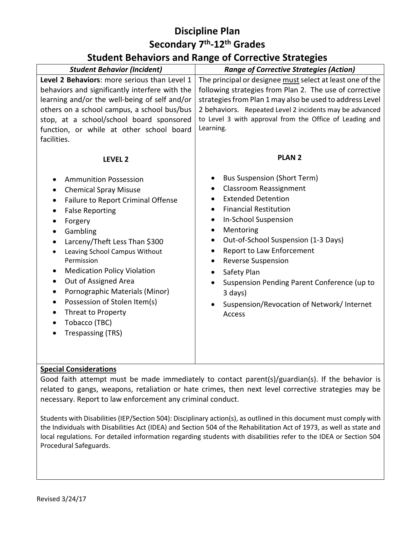## **Student Behaviors and Range of Corrective Strategies**

| <b>Range of Corrective Strategies (Action)</b>            |
|-----------------------------------------------------------|
|                                                           |
| The principal or designee must select at least one of the |
| following strategies from Plan 2. The use of corrective   |
| strategies from Plan 1 may also be used to address Level  |
| 2 behaviors. Repeated Level 2 incidents may be advanced   |
| to Level 3 with approval from the Office of Leading and   |
| Learning.                                                 |
|                                                           |
|                                                           |
| <b>PLAN 2</b>                                             |
|                                                           |
| <b>Bus Suspension (Short Term)</b>                        |
| <b>Classroom Reassignment</b>                             |
| <b>Extended Detention</b>                                 |
| <b>Financial Restitution</b>                              |
| <b>In-School Suspension</b><br>$\bullet$                  |
| Mentoring<br>$\bullet$                                    |
| Out-of-School Suspension (1-3 Days)                       |
| Report to Law Enforcement                                 |
| <b>Reverse Suspension</b>                                 |
| Safety Plan                                               |
| Suspension Pending Parent Conference (up to               |
| 3 days)                                                   |
|                                                           |
| Suspension/Revocation of Network/ Internet                |
| <b>Access</b>                                             |
|                                                           |
|                                                           |
|                                                           |
|                                                           |
|                                                           |

#### **Special Considerations**

Good faith attempt must be made immediately to contact parent(s)/guardian(s). If the behavior is related to gangs, weapons, retaliation or hate crimes, then next level corrective strategies may be necessary. Report to law enforcement any criminal conduct.

Students with Disabilities (IEP/Section 504): Disciplinary action(s), as outlined in this document must comply with the Individuals with Disabilities Act (IDEA) and Section 504 of the Rehabilitation Act of 1973, as well as state and local regulations. For detailed information regarding students with disabilities refer to the IDEA or Section 504 Procedural Safeguards.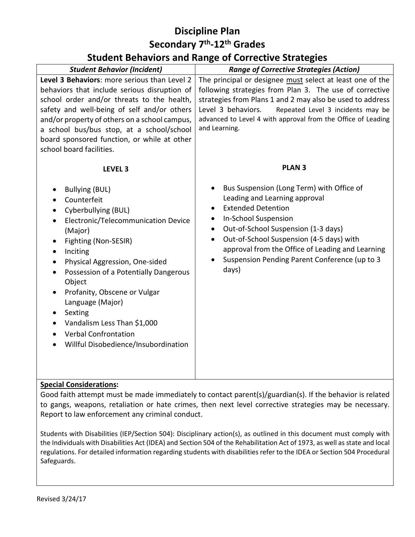## **Student Behaviors and Range of Corrective Strategies**

| <b>Student Behavior (Incident)</b>                                                                                                                                                                                                                                                                                                                                                                                                                                            | <b>Range of Corrective Strategies (Action)</b>                                                                                                                                                                                                                                                                                                                                   |
|-------------------------------------------------------------------------------------------------------------------------------------------------------------------------------------------------------------------------------------------------------------------------------------------------------------------------------------------------------------------------------------------------------------------------------------------------------------------------------|----------------------------------------------------------------------------------------------------------------------------------------------------------------------------------------------------------------------------------------------------------------------------------------------------------------------------------------------------------------------------------|
| Level 3 Behaviors: more serious than Level 2<br>behaviors that include serious disruption of<br>school order and/or threats to the health,<br>safety and well-being of self and/or others<br>and/or property of others on a school campus,<br>a school bus/bus stop, at a school/school<br>board sponsored function, or while at other<br>school board facilities.                                                                                                            | The principal or designee must select at least one of the<br>following strategies from Plan 3. The use of corrective<br>strategies from Plans 1 and 2 may also be used to address<br>Level 3 behaviors.<br>Repeated Level 3 incidents may be<br>advanced to Level 4 with approval from the Office of Leading<br>and Learning.                                                    |
| LEVEL <sub>3</sub><br><b>Bullying (BUL)</b><br>Counterfeit<br>Cyberbullying (BUL)<br>Electronic/Telecommunication Device<br>(Major)<br>Fighting (Non-SESIR)<br>٠<br>Inciting<br>Physical Aggression, One-sided<br>Possession of a Potentially Dangerous<br>$\bullet$<br>Object<br>Profanity, Obscene or Vulgar<br>$\bullet$<br>Language (Major)<br>Sexting<br>$\bullet$<br>Vandalism Less Than \$1,000<br><b>Verbal Confrontation</b><br>Willful Disobedience/Insubordination | <b>PLAN 3</b><br>Bus Suspension (Long Term) with Office of<br>Leading and Learning approval<br><b>Extended Detention</b><br>In-School Suspension<br>٠<br>Out-of-School Suspension (1-3 days)<br>$\bullet$<br>Out-of-School Suspension (4-5 days) with<br>$\bullet$<br>approval from the Office of Leading and Learning<br>Suspension Pending Parent Conference (up to 3<br>days) |

#### **Special Considerations:**

Good faith attempt must be made immediately to contact parent(s)/guardian(s). If the behavior is related to gangs, weapons, retaliation or hate crimes, then next level corrective strategies may be necessary. Report to law enforcement any criminal conduct.

Students with Disabilities (IEP/Section 504): Disciplinary action(s), as outlined in this document must comply with the Individuals with Disabilities Act (IDEA) and Section 504 of the Rehabilitation Act of 1973, as well as state and local regulations. For detailed information regarding students with disabilities refer to the IDEA or Section 504 Procedural Safeguards.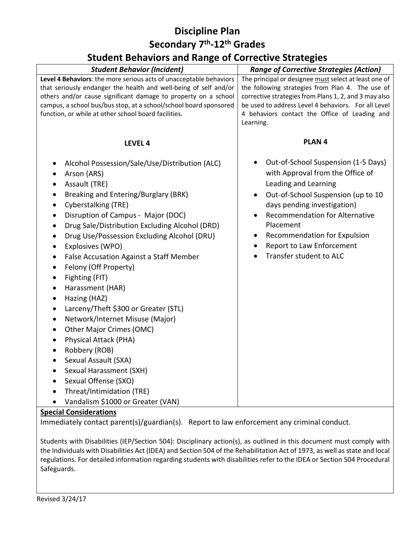### **Student Behaviors and Range of Corrective Strategies**

|                                                                                                                           | - - -- -- - - <u>-</u> - - -                                                                         |
|---------------------------------------------------------------------------------------------------------------------------|------------------------------------------------------------------------------------------------------|
| <b>Student Behavior (Incident)</b>                                                                                        | <b>Range of Corrective Strategies (Action)</b>                                                       |
| Level 4 Behaviors: the more serious acts of unacceptable behaviors                                                        | The principal or designee must select at least one of                                                |
| that seriously endanger the health and well-being of self and/or                                                          | the following strategies from Plan 4. The use of                                                     |
| others and/or cause significant damage to property on a school                                                            | corrective strategies from Plans 1, 2, and 3 may also                                                |
| campus, a school bus/bus stop, at a school/school board sponsored<br>function, or while at other school board facilities. | be used to address Level 4 behaviors. For all Level<br>4 behaviors contact the Office of Leading and |
|                                                                                                                           | Learning.                                                                                            |
|                                                                                                                           |                                                                                                      |
| LEVEL 4                                                                                                                   | PLAN <sub>4</sub>                                                                                    |
| Alcohol Possession/Sale/Use/Distribution (ALC)<br>$\bullet$                                                               | Out-of-School Suspension (1-5 Days)                                                                  |
| Arson (ARS)                                                                                                               | with Approval from the Office of                                                                     |
| Assault (TRE)<br>$\bullet$                                                                                                | Leading and Learning                                                                                 |
| Breaking and Entering/Burglary (BRK)<br>$\bullet$                                                                         | Out-of-School Suspension (up to 10                                                                   |
| Cyberstalking (TRE)<br>$\bullet$                                                                                          | days pending investigation)                                                                          |
| Disruption of Campus - Major (DOC)<br>$\bullet$                                                                           | <b>Recommendation for Alternative</b>                                                                |
| Drug Sale/Distribution Excluding Alcohol (DRD)<br>$\bullet$                                                               | Placement                                                                                            |
| Drug Use/Possession Excluding Alcohol (DRU)<br>$\bullet$                                                                  | Recommendation for Expulsion<br>$\bullet$                                                            |
| Explosives (WPO)<br>$\bullet$                                                                                             | <b>Report to Law Enforcement</b>                                                                     |
| False Accusation Against a Staff Member<br>$\bullet$                                                                      | Transfer student to ALC                                                                              |
| Felony (Off Property)<br>$\bullet$                                                                                        |                                                                                                      |
| Fighting (FIT)<br>$\bullet$                                                                                               |                                                                                                      |
| Harassment (HAR)<br>$\bullet$                                                                                             |                                                                                                      |
| Hazing (HAZ)<br>$\bullet$                                                                                                 |                                                                                                      |
| Larceny/Theft \$300 or Greater (STL)<br>$\bullet$                                                                         |                                                                                                      |
| Network/Internet Misuse (Major)<br>$\bullet$                                                                              |                                                                                                      |
| Other Major Crimes (OMC)<br>$\bullet$                                                                                     |                                                                                                      |
| Physical Attack (PHA)<br>$\bullet$                                                                                        |                                                                                                      |
| Robbery (ROB)<br>$\bullet$                                                                                                |                                                                                                      |
| Sexual Assault (SXA)<br>$\bullet$                                                                                         |                                                                                                      |
| Sexual Harassment (SXH)<br>$\bullet$                                                                                      |                                                                                                      |
| Sexual Offense (SXO)<br>$\bullet$                                                                                         |                                                                                                      |
| Threat/Intimidation (TRE)                                                                                                 |                                                                                                      |
| Vandalism \$1000 or Greater (VAN)                                                                                         |                                                                                                      |
| $\bullet$                                                                                                                 |                                                                                                      |

#### **Special Considerations**

Immediately contact parent(s)/guardian(s). Report to law enforcement any criminal conduct.

Students with Disabilities (IEP/Section 504): Disciplinary action(s), as outlined in this document must comply with the Individuals with Disabilities Act (IDEA) and Section 504 of the Rehabilitation Act of 1973, as well as state and local regulations. For detailed information regarding students with disabilities refer to the IDEA or Section 504 Procedural Safeguards.